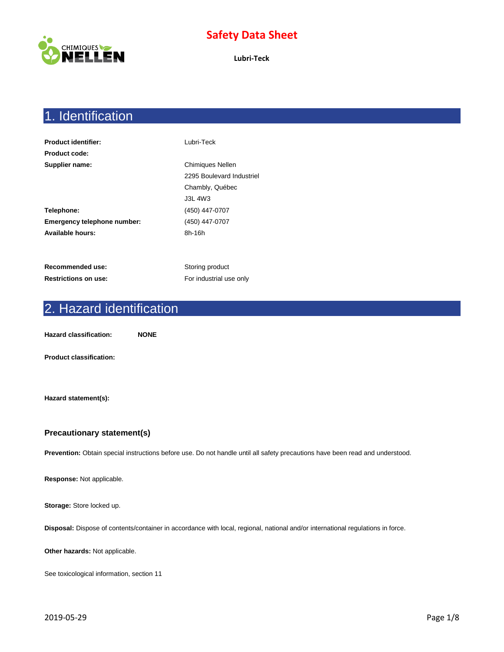

**Lubri-Teck**

# 1. Identification

| <b>Product identifier:</b>  | Lubri-Teck                |
|-----------------------------|---------------------------|
| <b>Product code:</b>        |                           |
| Supplier name:              | <b>Chimiques Nellen</b>   |
|                             | 2295 Boulevard Industriel |
|                             | Chambly, Québec           |
|                             | <b>J3L 4W3</b>            |
| Telephone:                  | (450) 447-0707            |
| Emergency telephone number: | (450) 447-0707            |
| Available hours:            | 8h-16h                    |
|                             |                           |
|                             |                           |
| Recommended use:            | Storing product           |

**Restrictions on use:** For industrial use only

# 2. Hazard identification

**Hazard classification: NONE**

**Product classification:**

**Hazard statement(s):**

#### **Precautionary statement(s)**

**Prevention:** Obtain special instructions before use. Do not handle until all safety precautions have been read and understood.

**Response:** Not applicable.

**Storage:** Store locked up.

**Disposal:** Dispose of contents/container in accordance with local, regional, national and/or international regulations in force.

**Other hazards:** Not applicable.

See toxicological information, section 11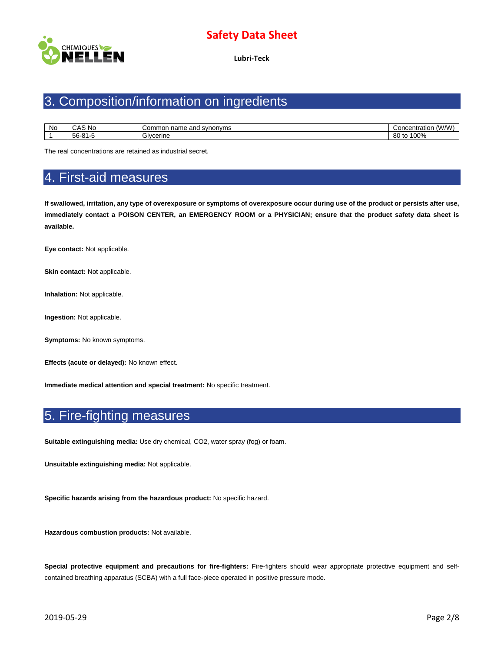

**Lubri-Teck**

# 3. Composition/information on ingredients

| <b>No</b> | `AS No<br>د ۱۸                 | synonyms<br>and<br>∵ommor<br>name | (30/2)<br>oncentration<br>w |
|-----------|--------------------------------|-----------------------------------|-----------------------------|
|           | $\sim$ 04 $\sim$<br>56-81<br>. | Givcerine                         | 100%<br>00<br>טויי<br>ou    |

The real concentrations are retained as industrial secret.

### 4. First-aid measures

**If swallowed, irritation, any type of overexposure or symptoms of overexposure occur during use of the product or persists after use, immediately contact a POISON CENTER, an EMERGENCY ROOM or a PHYSICIAN; ensure that the product safety data sheet is available.**

**Eye contact:** Not applicable.

**Skin contact: Not applicable.** 

**Inhalation:** Not applicable.

**Ingestion:** Not applicable.

**Symptoms:** No known symptoms.

**Effects (acute or delayed):** No known effect.

**Immediate medical attention and special treatment:** No specific treatment.

## 5. Fire-fighting measures

**Suitable extinguishing media:** Use dry chemical, CO2, water spray (fog) or foam.

**Unsuitable extinguishing media:** Not applicable.

**Specific hazards arising from the hazardous product:** No specific hazard.

**Hazardous combustion products:** Not available.

**Special protective equipment and precautions for fire-fighters:** Fire-fighters should wear appropriate protective equipment and selfcontained breathing apparatus (SCBA) with a full face-piece operated in positive pressure mode.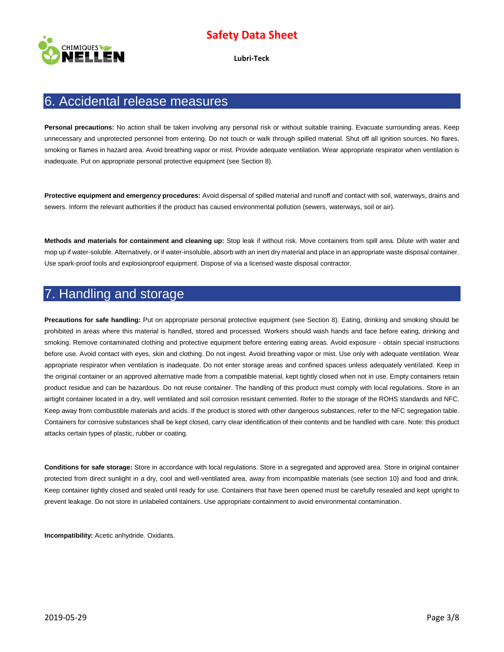

**Lubri-Teck**

#### 6. Accidental release measures

**Personal precautions:** No action shall be taken involving any personal risk or without suitable training. Evacuate surrounding areas. Keep unnecessary and unprotected personnel from entering. Do not touch or walk through spilled material. Shut off all ignition sources. No flares, smoking or flames in hazard area. Avoid breathing vapor or mist. Provide adequate ventilation. Wear appropriate respirator when ventilation is inadequate. Put on appropriate personal protective equipment (see Section 8).

**Protective equipment and emergency procedures:** Avoid dispersal of spilled material and runoff and contact with soil, waterways, drains and sewers. Inform the relevant authorities if the product has caused environmental pollution (sewers, waterways, soil or air).

**Methods and materials for containment and cleaning up:** Stop leak if without risk. Move containers from spill area. Dilute with water and mop up if water-soluble. Alternatively, or if water-insoluble, absorb with an inert dry material and place in an appropriate waste disposal container. Use spark-proof tools and explosionproof equipment. Dispose of via a licensed waste disposal contractor.

### 7. Handling and storage

**Precautions for safe handling:** Put on appropriate personal protective equipment (see Section 8). Eating, drinking and smoking should be prohibited in areas where this material is handled, stored and processed. Workers should wash hands and face before eating, drinking and smoking. Remove contaminated clothing and protective equipment before entering eating areas. Avoid exposure - obtain special instructions before use. Avoid contact with eyes, skin and clothing. Do not ingest. Avoid breathing vapor or mist. Use only with adequate ventilation. Wear appropriate respirator when ventilation is inadequate. Do not enter storage areas and confined spaces unless adequately ventilated. Keep in the original container or an approved alternative made from a compatible material, kept tightly closed when not in use. Empty containers retain product residue and can be hazardous. Do not reuse container. The handling of this product must comply with local regulations. Store in an airtight container located in a dry, well ventilated and soil corrosion resistant cemented. Refer to the storage of the ROHS standards and NFC. Keep away from combustible materials and acids. If the product is stored with other dangerous substances, refer to the NFC segregation table. Containers for corrosive substances shall be kept closed, carry clear identification of their contents and be handled with care. Note: this product attacks certain types of plastic, rubber or coating.

**Conditions for safe storage:** Store in accordance with local regulations. Store in a segregated and approved area. Store in original container protected from direct sunlight in a dry, cool and well-ventilated area, away from incompatible materials (see section 10) and food and drink. Keep container tightly closed and sealed until ready for use. Containers that have been opened must be carefully resealed and kept upright to prevent leakage. Do not store in unlabeled containers. Use appropriate containment to avoid environmental contamination.

**Incompatibility:** Acetic anhydride. Oxidants.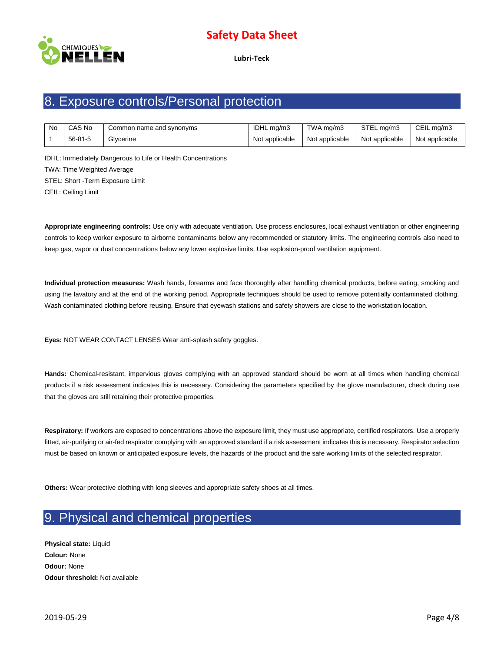

**Lubri-Teck**

# 8. Exposure controls/Personal protection

| No | CAS No  | Common name and synonyms | IDHL ma/m3     | TWA ma/m3      | STEL mg/m3     | CEIL mg/m3     |
|----|---------|--------------------------|----------------|----------------|----------------|----------------|
|    | 56-81-5 | Glycerine                | Not applicable | Not applicable | Not applicable | Not applicable |

IDHL: Immediately Dangerous to Life or Health Concentrations TWA: Time Weighted Average STEL: Short -Term Exposure Limit CEIL: Ceiling Limit

**Appropriate engineering controls:** Use only with adequate ventilation. Use process enclosures, local exhaust ventilation or other engineering controls to keep worker exposure to airborne contaminants below any recommended or statutory limits. The engineering controls also need to keep gas, vapor or dust concentrations below any lower explosive limits. Use explosion-proof ventilation equipment.

**Individual protection measures:** Wash hands, forearms and face thoroughly after handling chemical products, before eating, smoking and using the lavatory and at the end of the working period. Appropriate techniques should be used to remove potentially contaminated clothing. Wash contaminated clothing before reusing. Ensure that eyewash stations and safety showers are close to the workstation location.

**Eyes:** NOT WEAR CONTACT LENSES Wear anti-splash safety goggles.

**Hands:** Chemical-resistant, impervious gloves complying with an approved standard should be worn at all times when handling chemical products if a risk assessment indicates this is necessary. Considering the parameters specified by the glove manufacturer, check during use that the gloves are still retaining their protective properties.

**Respiratory:** If workers are exposed to concentrations above the exposure limit, they must use appropriate, certified respirators. Use a properly fitted, air-purifying or air-fed respirator complying with an approved standard if a risk assessment indicates this is necessary. Respirator selection must be based on known or anticipated exposure levels, the hazards of the product and the safe working limits of the selected respirator.

**Others:** Wear protective clothing with long sleeves and appropriate safety shoes at all times.

# 9. Physical and chemical properties

**Physical state:** Liquid **Colour:** None **Odour:** None **Odour threshold:** Not available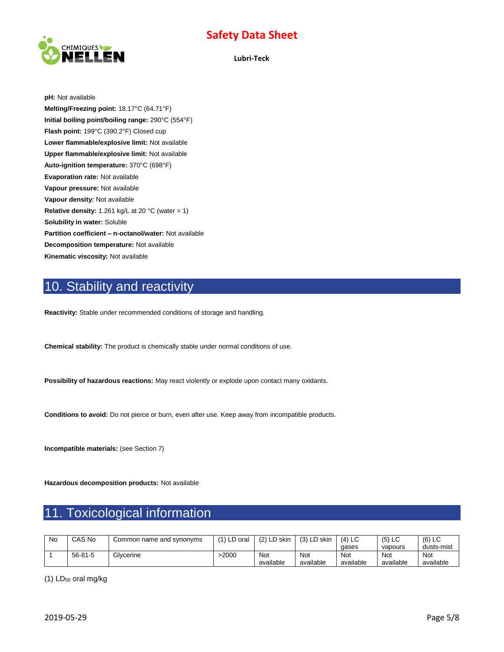

**Lubri-Teck**

**pH:** Not available **Melting/Freezing point:** 18.17°C (64.71°F) **Initial boiling point/boiling range:** 290°C (554°F) **Flash point:** 199°C (390.2°F) Closed cup **Lower flammable/explosive limit:** Not available **Upper flammable/explosive limit:** Not available **Auto-ignition temperature:** 370°C (698°F) **Evaporation rate:** Not available **Vapour pressure:** Not available **Vapour density:** Not available **Relative density:** 1.261 kg/L at 20 °C (water = 1) **Solubility in water:** Soluble **Partition coefficient – n-octanol/water:** Not available **Decomposition temperature:** Not available **Kinematic viscosity:** Not available

# 10. Stability and reactivity

**Reactivity:** Stable under recommended conditions of storage and handling.

**Chemical stability:** The product is chemically stable under normal conditions of use.

**Possibility of hazardous reactions:** May react violently or explode upon contact many oxidants.

**Conditions to avoid:** Do not pierce or burn, even after use. Keep away from incompatible products.

**Incompatible materials:** (see Section 7)

**Hazardous decomposition products:** Not available

# 11. Toxicological information

| No | CAS No        | Common name and synonyms | $(1)$ LD oral | $(2)$ LD skin | (3) LD skin | $(4)$ LC  | $(5)$ LC  | $(6)$ LC   |
|----|---------------|--------------------------|---------------|---------------|-------------|-----------|-----------|------------|
|    |               |                          |               |               |             | gases     | vapours   | dusts-mist |
|    | $56 - 81 - 5$ | Glycerine                | 2000-         | Not           | Not         | Not       | Not       | <b>Not</b> |
|    |               |                          |               | available     | available   | available | available | available  |

(1) LD<sup>50</sup> oral mg/kg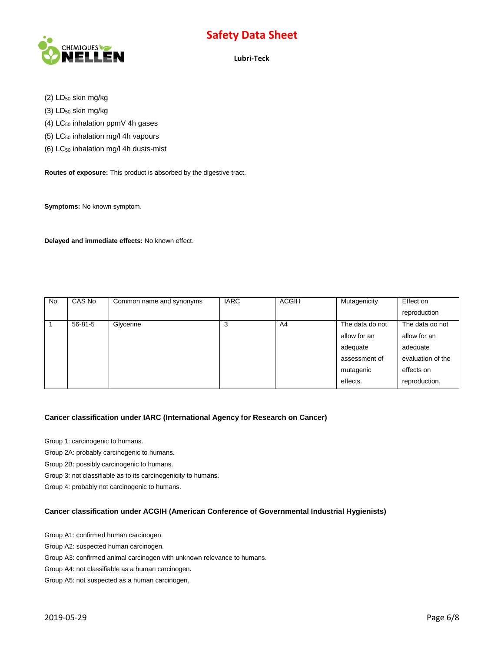

**Lubri-Teck**

(2) LD<sub>50</sub> skin mg/kg

 $(3)$  LD<sub>50</sub> skin mg/kg

(4) LC<sub>50</sub> inhalation ppmV 4h gases

- (5)  $LC_{50}$  inhalation mg/l 4h vapours
- (6) LC<sup>50</sup> inhalation mg/l 4h dusts-mist

**Routes of exposure:** This product is absorbed by the digestive tract.

**Symptoms:** No known symptom.

**Delayed and immediate effects:** No known effect.

| <b>No</b> | CAS No        | Common name and synonyms | <b>IARC</b> | <b>ACGIH</b>   | Mutagenicity    | Effect on         |
|-----------|---------------|--------------------------|-------------|----------------|-----------------|-------------------|
|           |               |                          |             |                |                 | reproduction      |
|           | $56 - 81 - 5$ | Glycerine                | 3           | A <sub>4</sub> | The data do not | The data do not   |
|           |               |                          |             |                | allow for an    | allow for an      |
|           |               |                          |             |                | adequate        | adequate          |
|           |               |                          |             |                | assessment of   | evaluation of the |
|           |               |                          |             |                | mutagenic       | effects on        |
|           |               |                          |             |                | effects.        | reproduction.     |

#### **Cancer classification under IARC (International Agency for Research on Cancer)**

Group 1: carcinogenic to humans.

Group 2A: probably carcinogenic to humans.

Group 2B: possibly carcinogenic to humans.

Group 3: not classifiable as to its carcinogenicity to humans.

Group 4: probably not carcinogenic to humans.

#### **Cancer classification under ACGIH (American Conference of Governmental Industrial Hygienists)**

Group A1: confirmed human carcinogen.

Group A2: suspected human carcinogen.

Group A3: confirmed animal carcinogen with unknown relevance to humans.

Group A4: not classifiable as a human carcinogen.

Group A5: not suspected as a human carcinogen.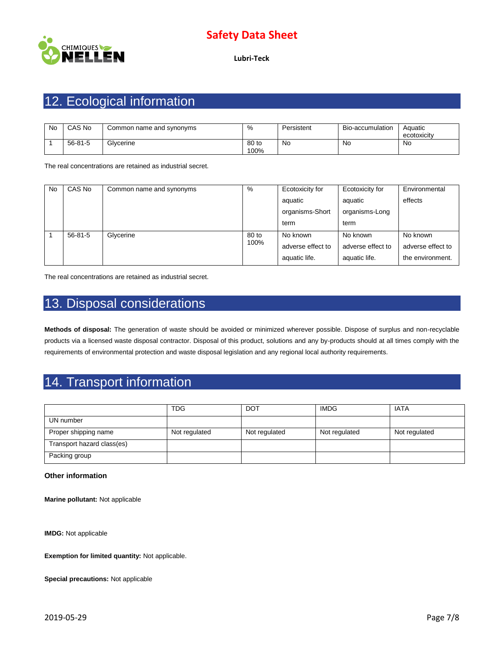

**Lubri-Teck**

# 12. Ecological information

| No | CAS No        | Common name and synonyms | %             | Persistent | Bio-accumulation | Aquatic<br>ecotoxicity |
|----|---------------|--------------------------|---------------|------------|------------------|------------------------|
|    | $56 - 81 - 5$ | Glycerine                | 80 to<br>100% | No         | No.              | No                     |

The real concentrations are retained as industrial secret.

| No | CAS No        | Common name and synonyms | %     | Ecotoxicity for   | Ecotoxicity for   | Environmental     |
|----|---------------|--------------------------|-------|-------------------|-------------------|-------------------|
|    |               |                          |       | aquatic           | aquatic           | effects           |
|    |               |                          |       | organisms-Short   | organisms-Long    |                   |
|    |               |                          |       | term              | term              |                   |
|    | $56 - 81 - 5$ | Glycerine                | 80 to | No known          | No known          | No known          |
|    |               |                          | 100%  | adverse effect to | adverse effect to | adverse effect to |
|    |               |                          |       | aquatic life.     | aquatic life.     | the environment.  |

The real concentrations are retained as industrial secret.

# 13. Disposal considerations

**Methods of disposal:** The generation of waste should be avoided or minimized wherever possible. Dispose of surplus and non-recyclable products via a licensed waste disposal contractor. Disposal of this product, solutions and any by-products should at all times comply with the requirements of environmental protection and waste disposal legislation and any regional local authority requirements.

# 14. Transport information

|                            | <b>TDG</b>    | <b>DOT</b>    | <b>IMDG</b>   | <b>IATA</b>   |
|----------------------------|---------------|---------------|---------------|---------------|
| UN number                  |               |               |               |               |
| Proper shipping name       | Not regulated | Not regulated | Not regulated | Not regulated |
| Transport hazard class(es) |               |               |               |               |
| Packing group              |               |               |               |               |

#### **Other information**

**Marine pollutant:** Not applicable

**IMDG:** Not applicable

**Exemption for limited quantity:** Not applicable.

**Special precautions:** Not applicable